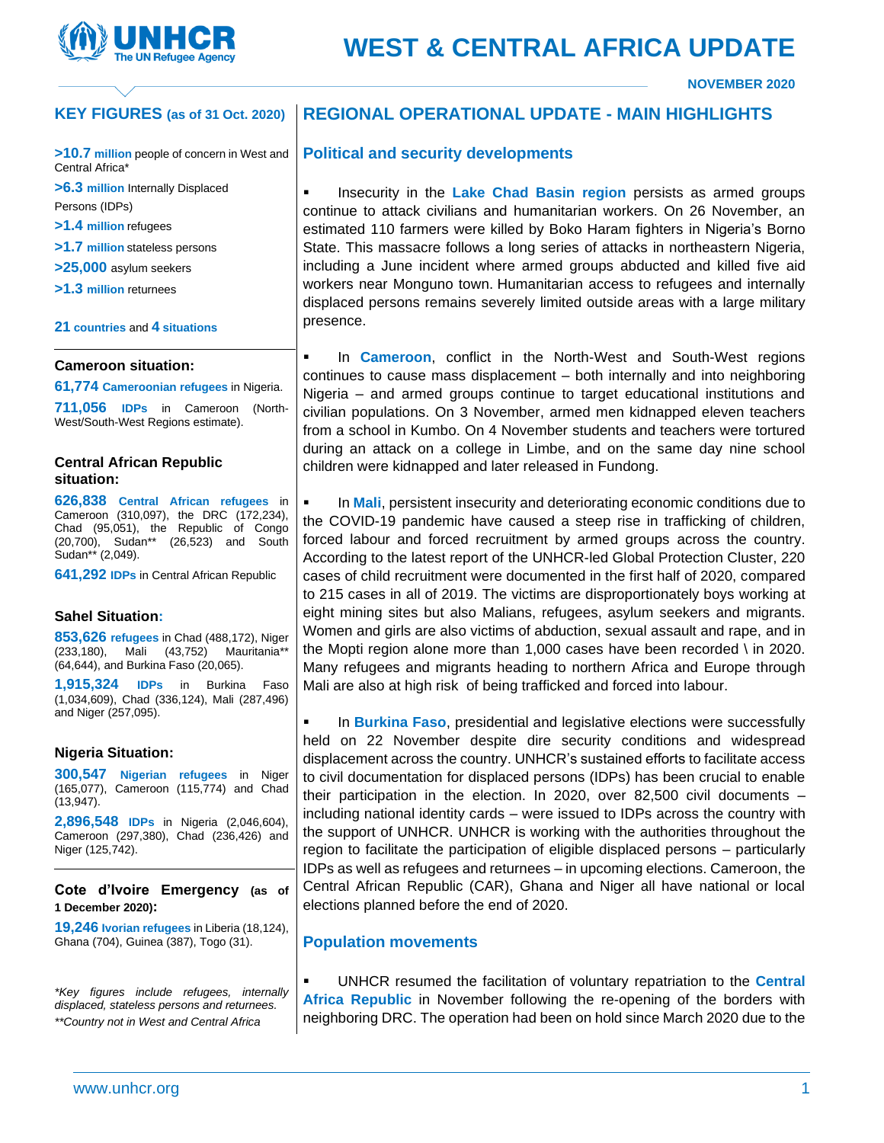

# **WEST & CENTRAL AFRICA UPDATE**

**NOVEMBER 2020**

#### **REGIONAL OPERATIONAL UPDATE - MAIN HIGHLIGHTS KEY FIGURES (as of 31 Oct. 2020)**

**>10.7 million** people of concern in West and Central Africa\*

**>6.3 million** Internally Displaced Persons (IDPs)

- **>1.4 million** refugees
- **>1.7 million** stateless persons
- **>25,000** asylum seekers
- **>1.3 million** returnees

#### **21 countries** and **4 situations**

#### **Cameroon situation:**

**61,774 Cameroonian refugees** in Nigeria.

**711,056 IDPs** in Cameroon (North-West/South-West Regions estimate).

### **Central African Republic situation:**

**626,838 Central African refugees** in Cameroon (310,097), the DRC (172,234), Chad (95,051), the Republic of Congo (20,700), Sudan\*\* (26,523) and South Sudan\*\* (2,049).

**641,292 IDPs** in Central African Republic

#### **Sahel Situation:**

**853,626 refugees** in Chad (488,172), Niger (233,180), Mali (43,752) Mauritania\*\* (64,644), and Burkina Faso (20,065).

**1,915,324 IDPs** in Burkina Faso (1,034,609), Chad (336,124), Mali (287,496) and Niger (257,095).

#### **Nigeria Situation:**

**300,547 Nigerian refugees** in Niger (165,077), Cameroon (115,774) and Chad (13,947).

**2,896,548 IDPs** in Nigeria (2,046,604), Cameroon (297,380), Chad (236,426) and Niger (125,742).

**Cote d'Ivoire Emergency (as of 1 December 2020):** 

**19,246 Ivorian refugees** in Liberia (18,124), Ghana (704), Guinea (387), Togo (31).

*\*Key figures include refugees, internally displaced, stateless persons and returnees. \*\*Country not in West and Central Africa*

## **Political and security developments**

**EXED Insecurity in the Lake Chad Basin region** persists as armed groups continue to attack civilians and humanitarian workers. On 26 November, an estimated 110 farmers were killed by Boko Haram fighters in Nigeria's Borno State. This massacre follows a long series of attacks in northeastern Nigeria, including a June incident where armed groups abducted and killed five aid workers near Monguno town. Humanitarian access to refugees and internally displaced persons remains severely limited outside areas with a large military presence.

▪ In **Cameroon**, conflict in the North-West and South-West regions continues to cause mass displacement – both internally and into neighboring Nigeria – and armed groups continue to target educational institutions and civilian populations. On 3 November, armed men kidnapped eleven teachers from a school in Kumbo. On 4 November students and teachers were tortured during an attack on a college in Limbe, and on the same day nine school children were kidnapped and later released in Fundong.

In **Mali**, persistent insecurity and deteriorating economic conditions due to the COVID-19 pandemic have caused a steep rise in trafficking of children, forced labour and forced recruitment by armed groups across the country. According to the latest report of the UNHCR-led Global Protection Cluster, 220 cases of child recruitment were documented in the first half of 2020, compared to 215 cases in all of 2019. The victims are disproportionately boys working at eight mining sites but also Malians, refugees, asylum seekers and migrants. Women and girls are also victims of abduction, sexual assault and rape, and in the Mopti region alone more than 1,000 cases have been recorded \ in 2020. Many refugees and migrants heading to northern Africa and Europe through Mali are also at high risk of being trafficked and forced into labour.

In **Burkina Faso**, presidential and legislative elections were successfully held on 22 November despite dire security conditions and widespread displacement across the country. UNHCR's sustained efforts to facilitate access to civil documentation for displaced persons (IDPs) has been crucial to enable their participation in the election. In 2020, over 82,500 civil documents – including national identity cards – were issued to IDPs across the country with the support of UNHCR. UNHCR is working with the authorities throughout the region to facilitate the participation of eligible displaced persons – particularly IDPs as well as refugees and returnees – in upcoming elections. Cameroon, the Central African Republic (CAR), Ghana and Niger all have national or local elections planned before the end of 2020.

## **Population movements**

UNHCR resumed the facilitation of voluntary repatriation to the **Central Africa Republic** in November following the re-opening of the borders with neighboring DRC. The operation had been on hold since March 2020 due to the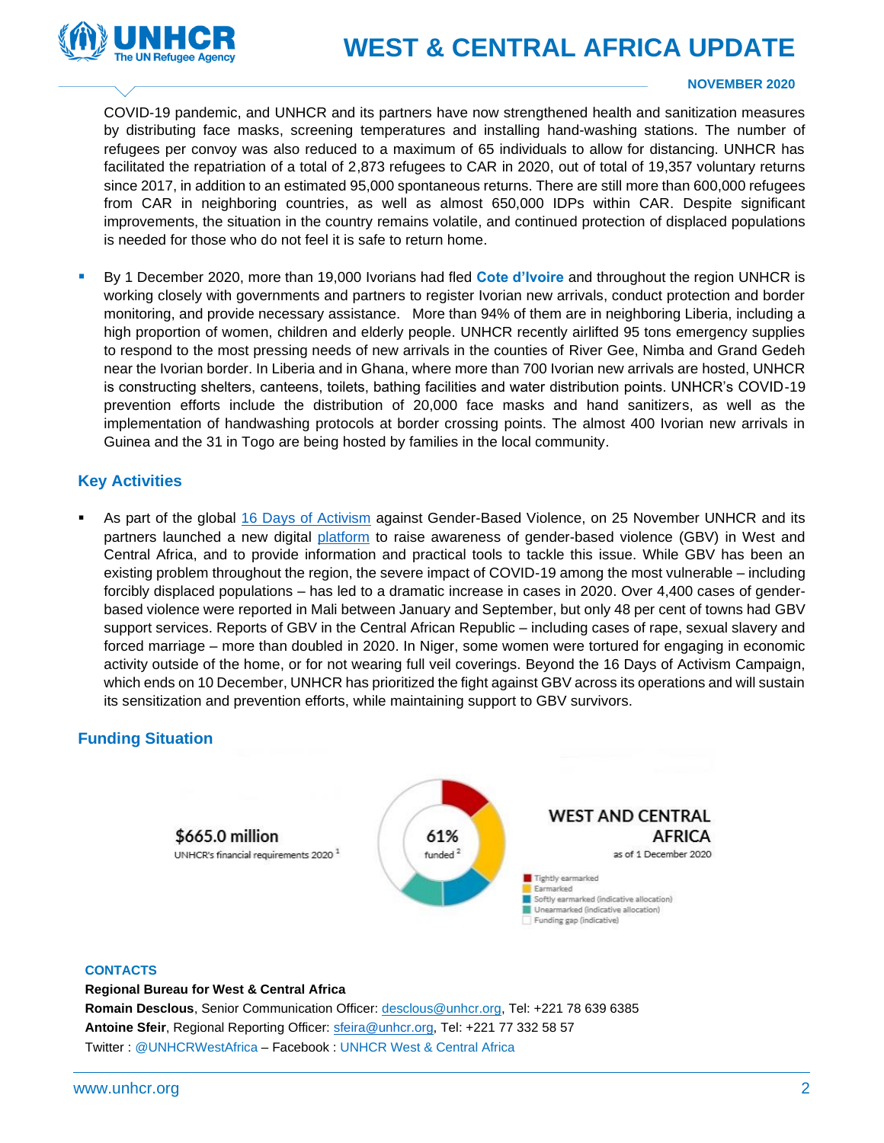

## **WEST & CENTRAL AFRICA UPDATE**

#### **NOVEMBER 2020**

COVID-19 pandemic, and UNHCR and its partners have now strengthened health and sanitization measures by distributing face masks, screening temperatures and installing hand-washing stations. The number of refugees per convoy was also reduced to a maximum of 65 individuals to allow for distancing. UNHCR has facilitated the repatriation of a total of 2,873 refugees to CAR in 2020, out of total of 19,357 voluntary returns since 2017, in addition to an estimated 95,000 spontaneous returns. There are still more than 600,000 refugees from CAR in neighboring countries, as well as almost 650,000 IDPs within CAR. Despite significant improvements, the situation in the country remains volatile, and continued protection of displaced populations is needed for those who do not feel it is safe to return home.

▪ By 1 December 2020, more than 19,000 Ivorians had fled **Cote d'Ivoire** and throughout the region UNHCR is working closely with governments and partners to register Ivorian new arrivals, conduct protection and border monitoring, and provide necessary assistance. More than 94% of them are in neighboring Liberia, including a high proportion of women, children and elderly people. UNHCR recently airlifted 95 tons emergency supplies to respond to the most pressing needs of new arrivals in the counties of River Gee, Nimba and Grand Gedeh near the Ivorian border. In Liberia and in Ghana, where more than 700 Ivorian new arrivals are hosted, UNHCR is constructing shelters, canteens, toilets, bathing facilities and water distribution points. UNHCR's COVID-19 prevention efforts include the distribution of 20,000 face masks and hand sanitizers, as well as the implementation of handwashing protocols at border crossing points. The almost 400 Ivorian new arrivals in Guinea and the 31 in Togo are being hosted by families in the local community.

#### **Key Activities**

As part of the global [16 Days of Activism](https://16dayscampaign.org/) against Gender-Based Violence, on 25 November UNHCR and its partners launched a new digital [platform](https://gbv.westafrica.exposed/en/) to raise awareness of gender-based violence (GBV) in West and Central Africa, and to provide information and practical tools to tackle this issue. While GBV has been an existing problem throughout the region, the severe impact of COVID-19 among the most vulnerable – including forcibly displaced populations – has led to a dramatic increase in cases in 2020. Over 4,400 cases of genderbased violence were reported in Mali between January and September, but only 48 per cent of towns had GBV support services. Reports of GBV in the Central African Republic – including cases of rape, sexual slavery and forced marriage – more than doubled in 2020. In Niger, some women were tortured for engaging in economic activity outside of the home, or for not wearing full veil coverings. Beyond the 16 Days of Activism Campaign, which ends on 10 December, UNHCR has prioritized the fight against GBV across its operations and will sustain its sensitization and prevention efforts, while maintaining support to GBV survivors.

### **Funding Situation**



#### **CONTACTS**

#### **Regional Bureau for West & Central Africa**

**Romain Desclous**, Senior Communication Officer: desclous@unhcr.org, Tel: +221 78 639 6385 **Antoine Sfeir**, Regional Reporting Officer: [sfeira@unhcr.org,](mailto:sfeira@unhcr.org) Tel: +221 77 332 58 57 Twitter : @UNHCRWestAfrica – Facebook : UNHCR West & Central Africa